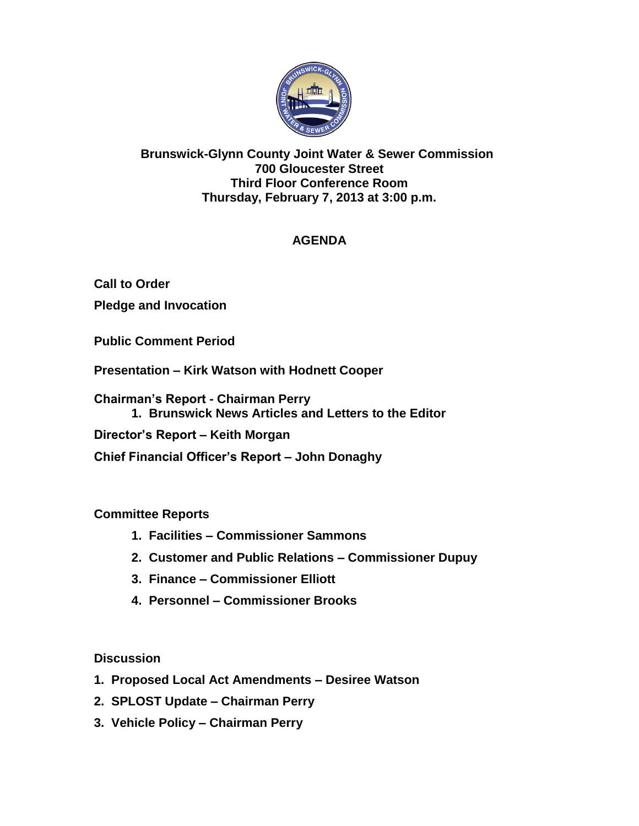

### **Brunswick-Glynn County Joint Water & Sewer Commission 700 Gloucester Street Third Floor Conference Room Thursday, February 7, 2013 at 3:00 p.m.**

# **AGENDA**

**Call to Order Pledge and Invocation**

**Public Comment Period**

**Presentation – Kirk Watson with Hodnett Cooper**

**Chairman's Report - Chairman Perry 1. Brunswick News Articles and Letters to the Editor**

**Director's Report – Keith Morgan**

**Chief Financial Officer's Report – John Donaghy**

**Committee Reports**

- **1. Facilities – Commissioner Sammons**
- **2. Customer and Public Relations – Commissioner Dupuy**
- **3. Finance – Commissioner Elliott**
- **4. Personnel – Commissioner Brooks**

**Discussion**

- **1. Proposed Local Act Amendments – Desiree Watson**
- **2. SPLOST Update – Chairman Perry**
- **3. Vehicle Policy – Chairman Perry**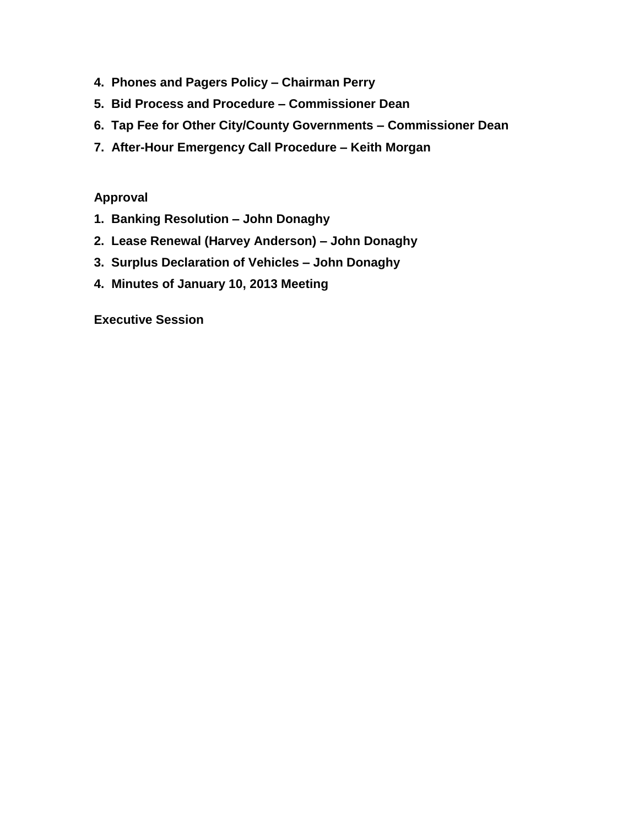- **4. Phones and Pagers Policy – Chairman Perry**
- **5. Bid Process and Procedure – Commissioner Dean**
- **6. Tap Fee for Other City/County Governments – Commissioner Dean**
- **7. After-Hour Emergency Call Procedure – Keith Morgan**

#### **Approval**

- **1. Banking Resolution – John Donaghy**
- **2. Lease Renewal (Harvey Anderson) – John Donaghy**
- **3. Surplus Declaration of Vehicles – John Donaghy**
- **4. Minutes of January 10, 2013 Meeting**

**Executive Session**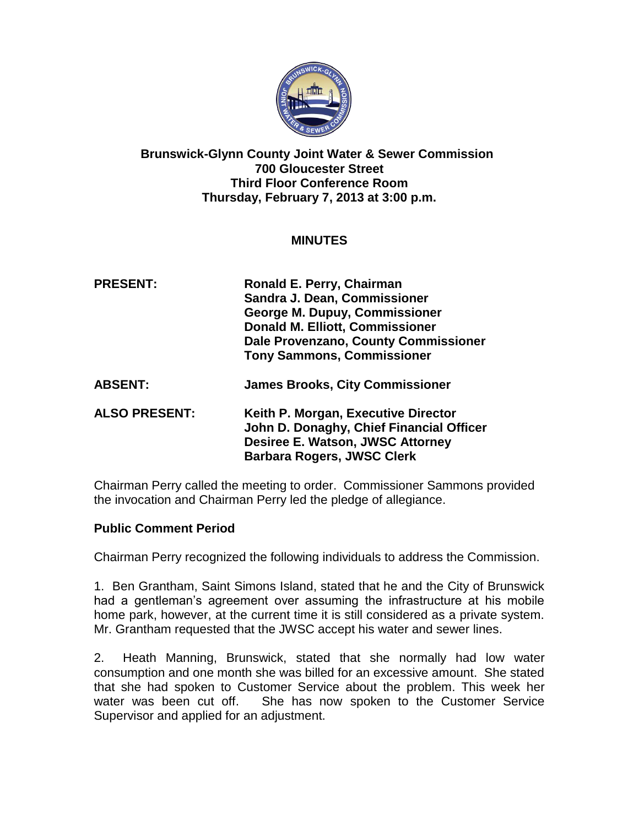

#### **Brunswick-Glynn County Joint Water & Sewer Commission 700 Gloucester Street Third Floor Conference Room Thursday, February 7, 2013 at 3:00 p.m.**

### **MINUTES**

| <b>PRESENT:</b>      | Ronald E. Perry, Chairman<br>Sandra J. Dean, Commissioner<br><b>George M. Dupuy, Commissioner</b><br><b>Donald M. Elliott, Commissioner</b><br>Dale Provenzano, County Commissioner<br><b>Tony Sammons, Commissioner</b> |
|----------------------|--------------------------------------------------------------------------------------------------------------------------------------------------------------------------------------------------------------------------|
| <b>ABSENT:</b>       | <b>James Brooks, City Commissioner</b>                                                                                                                                                                                   |
| <b>ALSO PRESENT:</b> | Keith P. Morgan, Executive Director<br>John D. Donaghy, Chief Financial Officer<br>Desiree E. Watson, JWSC Attorney<br><b>Barbara Rogers, JWSC Clerk</b>                                                                 |

Chairman Perry called the meeting to order. Commissioner Sammons provided the invocation and Chairman Perry led the pledge of allegiance.

### **Public Comment Period**

Chairman Perry recognized the following individuals to address the Commission.

1. Ben Grantham, Saint Simons Island, stated that he and the City of Brunswick had a gentleman's agreement over assuming the infrastructure at his mobile home park, however, at the current time it is still considered as a private system. Mr. Grantham requested that the JWSC accept his water and sewer lines.

2. Heath Manning, Brunswick, stated that she normally had low water consumption and one month she was billed for an excessive amount. She stated that she had spoken to Customer Service about the problem. This week her water was been cut off. She has now spoken to the Customer Service Supervisor and applied for an adjustment.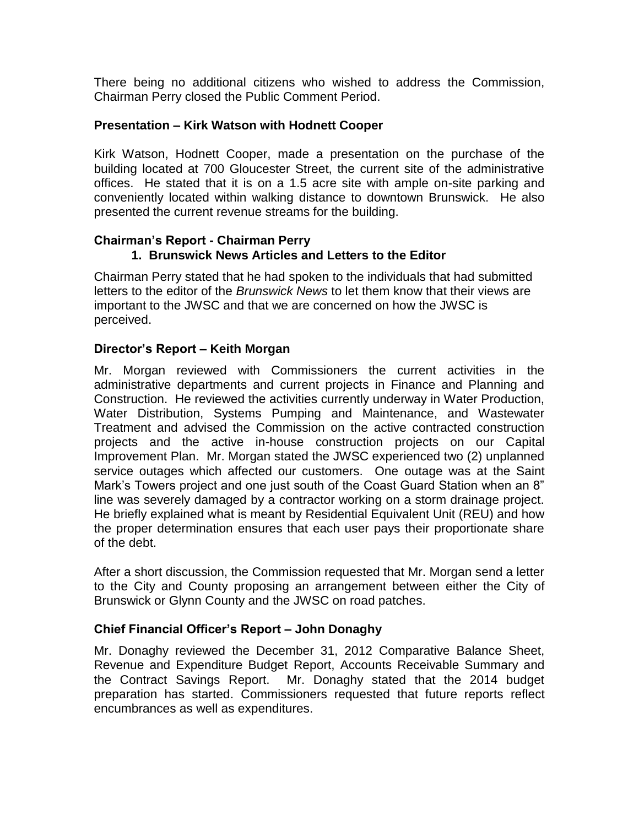There being no additional citizens who wished to address the Commission, Chairman Perry closed the Public Comment Period.

#### **Presentation – Kirk Watson with Hodnett Cooper**

Kirk Watson, Hodnett Cooper, made a presentation on the purchase of the building located at 700 Gloucester Street, the current site of the administrative offices. He stated that it is on a 1.5 acre site with ample on-site parking and conveniently located within walking distance to downtown Brunswick. He also presented the current revenue streams for the building.

# **Chairman's Report - Chairman Perry**

### **1. Brunswick News Articles and Letters to the Editor**

Chairman Perry stated that he had spoken to the individuals that had submitted letters to the editor of the *Brunswick News* to let them know that their views are important to the JWSC and that we are concerned on how the JWSC is perceived.

### **Director's Report – Keith Morgan**

Mr. Morgan reviewed with Commissioners the current activities in the administrative departments and current projects in Finance and Planning and Construction. He reviewed the activities currently underway in Water Production, Water Distribution, Systems Pumping and Maintenance, and Wastewater Treatment and advised the Commission on the active contracted construction projects and the active in-house construction projects on our Capital Improvement Plan. Mr. Morgan stated the JWSC experienced two (2) unplanned service outages which affected our customers. One outage was at the Saint Mark's Towers project and one just south of the Coast Guard Station when an 8" line was severely damaged by a contractor working on a storm drainage project. He briefly explained what is meant by Residential Equivalent Unit (REU) and how the proper determination ensures that each user pays their proportionate share of the debt.

After a short discussion, the Commission requested that Mr. Morgan send a letter to the City and County proposing an arrangement between either the City of Brunswick or Glynn County and the JWSC on road patches.

#### **Chief Financial Officer's Report – John Donaghy**

Mr. Donaghy reviewed the December 31, 2012 Comparative Balance Sheet, Revenue and Expenditure Budget Report, Accounts Receivable Summary and the Contract Savings Report. Mr. Donaghy stated that the 2014 budget preparation has started. Commissioners requested that future reports reflect encumbrances as well as expenditures.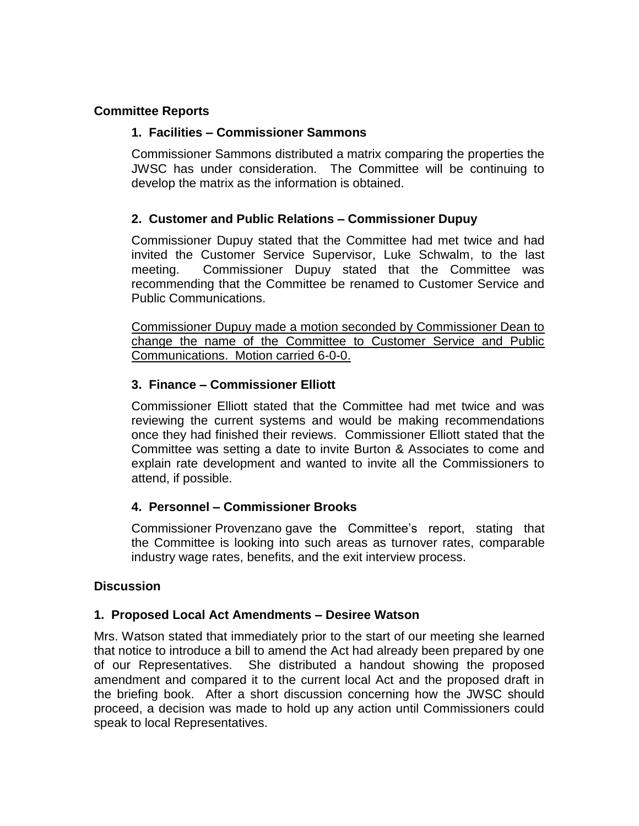### **Committee Reports**

#### **1. Facilities – Commissioner Sammons**

Commissioner Sammons distributed a matrix comparing the properties the JWSC has under consideration. The Committee will be continuing to develop the matrix as the information is obtained.

#### **2. Customer and Public Relations – Commissioner Dupuy**

Commissioner Dupuy stated that the Committee had met twice and had invited the Customer Service Supervisor, Luke Schwalm, to the last meeting. Commissioner Dupuy stated that the Committee was recommending that the Committee be renamed to Customer Service and Public Communications.

Commissioner Dupuy made a motion seconded by Commissioner Dean to change the name of the Committee to Customer Service and Public Communications. Motion carried 6-0-0.

#### **3. Finance – Commissioner Elliott**

Commissioner Elliott stated that the Committee had met twice and was reviewing the current systems and would be making recommendations once they had finished their reviews. Commissioner Elliott stated that the Committee was setting a date to invite Burton & Associates to come and explain rate development and wanted to invite all the Commissioners to attend, if possible.

#### **4. Personnel – Commissioner Brooks**

Commissioner Provenzano gave the Committee's report, stating that the Committee is looking into such areas as turnover rates, comparable industry wage rates, benefits, and the exit interview process.

#### **Discussion**

#### **1. Proposed Local Act Amendments – Desiree Watson**

Mrs. Watson stated that immediately prior to the start of our meeting she learned that notice to introduce a bill to amend the Act had already been prepared by one of our Representatives. She distributed a handout showing the proposed amendment and compared it to the current local Act and the proposed draft in the briefing book. After a short discussion concerning how the JWSC should proceed, a decision was made to hold up any action until Commissioners could speak to local Representatives.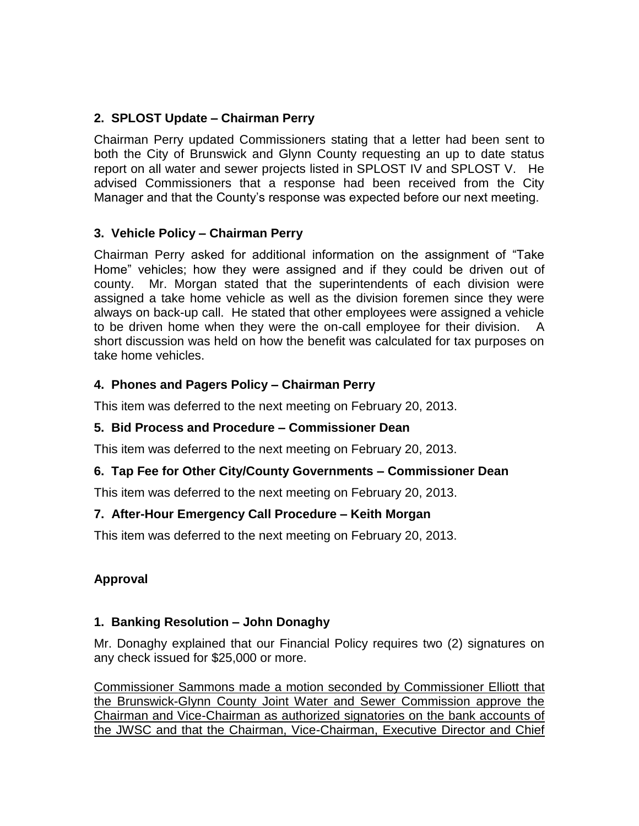## **2. SPLOST Update – Chairman Perry**

Chairman Perry updated Commissioners stating that a letter had been sent to both the City of Brunswick and Glynn County requesting an up to date status report on all water and sewer projects listed in SPLOST IV and SPLOST V. He advised Commissioners that a response had been received from the City Manager and that the County's response was expected before our next meeting.

# **3. Vehicle Policy – Chairman Perry**

Chairman Perry asked for additional information on the assignment of "Take Home" vehicles; how they were assigned and if they could be driven out of county. Mr. Morgan stated that the superintendents of each division were assigned a take home vehicle as well as the division foremen since they were always on back-up call. He stated that other employees were assigned a vehicle to be driven home when they were the on-call employee for their division. A short discussion was held on how the benefit was calculated for tax purposes on take home vehicles.

# **4. Phones and Pagers Policy – Chairman Perry**

This item was deferred to the next meeting on February 20, 2013.

### **5. Bid Process and Procedure – Commissioner Dean**

This item was deferred to the next meeting on February 20, 2013.

### **6. Tap Fee for Other City/County Governments – Commissioner Dean**

This item was deferred to the next meeting on February 20, 2013.

# **7. After-Hour Emergency Call Procedure – Keith Morgan**

This item was deferred to the next meeting on February 20, 2013.

# **Approval**

### **1. Banking Resolution – John Donaghy**

Mr. Donaghy explained that our Financial Policy requires two (2) signatures on any check issued for \$25,000 or more.

Commissioner Sammons made a motion seconded by Commissioner Elliott that the Brunswick-Glynn County Joint Water and Sewer Commission approve the Chairman and Vice-Chairman as authorized signatories on the bank accounts of the JWSC and that the Chairman, Vice-Chairman, Executive Director and Chief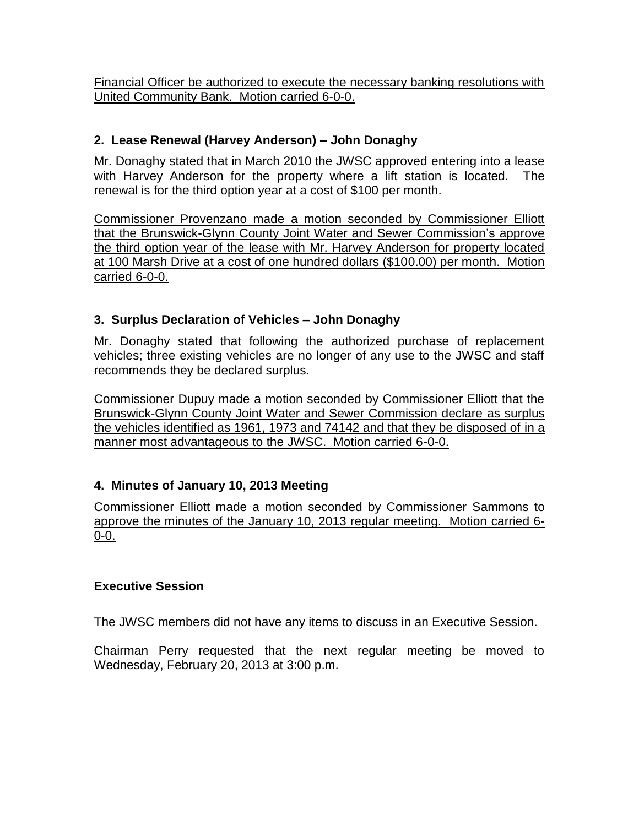Financial Officer be authorized to execute the necessary banking resolutions with United Community Bank. Motion carried 6-0-0.

## **2. Lease Renewal (Harvey Anderson) – John Donaghy**

Mr. Donaghy stated that in March 2010 the JWSC approved entering into a lease with Harvey Anderson for the property where a lift station is located. The renewal is for the third option year at a cost of \$100 per month.

Commissioner Provenzano made a motion seconded by Commissioner Elliott that the Brunswick-Glynn County Joint Water and Sewer Commission's approve the third option year of the lease with Mr. Harvey Anderson for property located at 100 Marsh Drive at a cost of one hundred dollars (\$100.00) per month. Motion carried 6-0-0.

# **3. Surplus Declaration of Vehicles – John Donaghy**

Mr. Donaghy stated that following the authorized purchase of replacement vehicles; three existing vehicles are no longer of any use to the JWSC and staff recommends they be declared surplus.

Commissioner Dupuy made a motion seconded by Commissioner Elliott that the Brunswick-Glynn County Joint Water and Sewer Commission declare as surplus the vehicles identified as 1961, 1973 and 74142 and that they be disposed of in a manner most advantageous to the JWSC. Motion carried 6-0-0.

### **4. Minutes of January 10, 2013 Meeting**

Commissioner Elliott made a motion seconded by Commissioner Sammons to approve the minutes of the January 10, 2013 regular meeting. Motion carried 6- 0-0.

### **Executive Session**

The JWSC members did not have any items to discuss in an Executive Session.

Chairman Perry requested that the next regular meeting be moved to Wednesday, February 20, 2013 at 3:00 p.m.